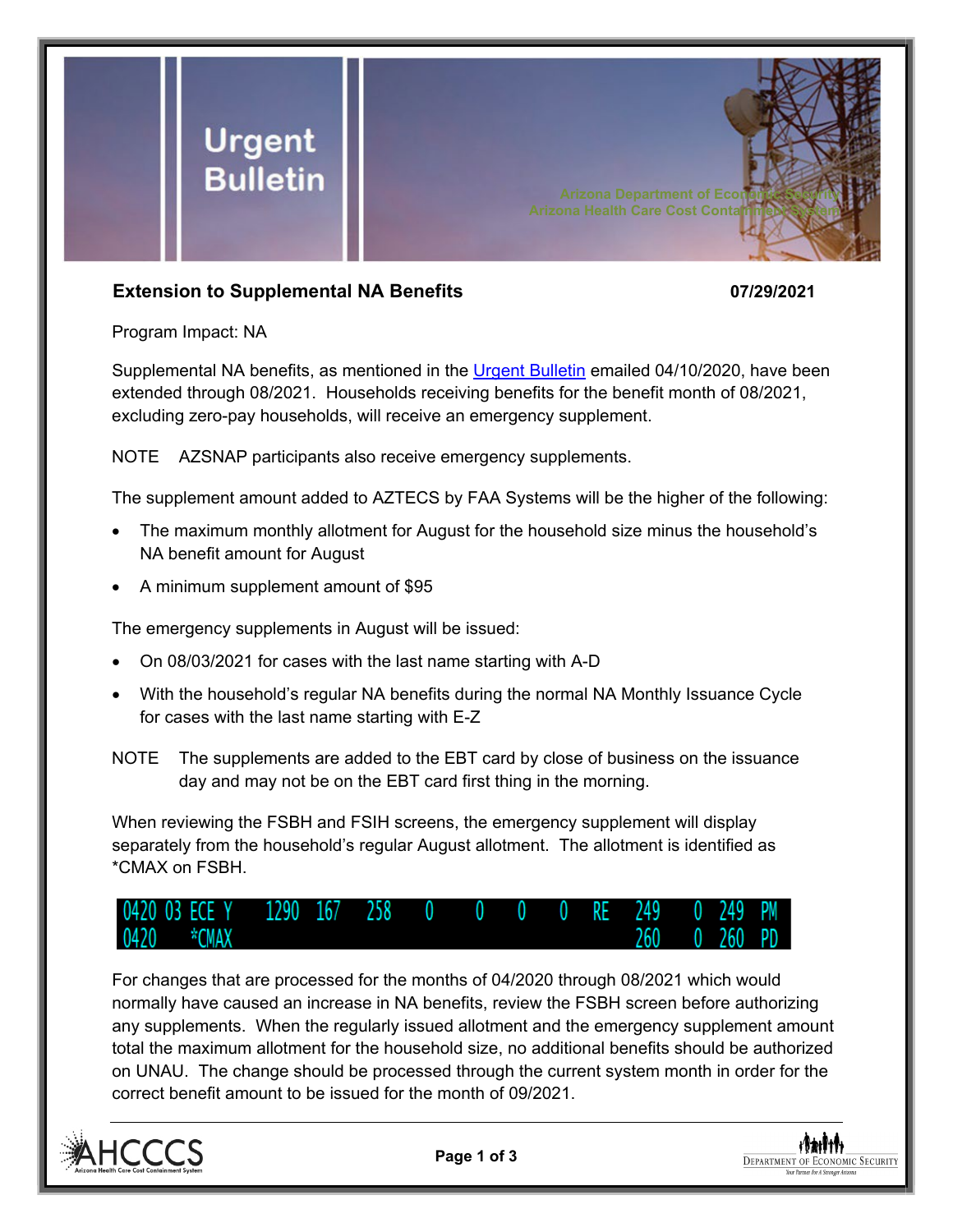

## **Extension to Supplemental NA Benefits 07/29/2021**

Program Impact: NA

Supplemental NA benefits, as mentioned in the [Urgent Bulletin](https://dbmefaapolicy.azdes.gov/FAA5/baggage/Urgent%20Bulletin%20(04-10-2020)%20-%20Supplemental%20Nutrition%20Assistance%20Benefits%20for%20Participants.pdf) emailed 04/10/2020, have been extended through 08/2021. Households receiving benefits for the benefit month of 08/2021, excluding zero-pay households, will receive an emergency supplement.

NOTE AZSNAP participants also receive emergency supplements.

The supplement amount added to AZTECS by FAA Systems will be the higher of the following:

- The maximum monthly allotment for August for the household size minus the household's NA benefit amount for August
- A minimum supplement amount of \$95

The emergency supplements in August will be issued:

- On 08/03/2021 for cases with the last name starting with A-D
- With the household's regular NA benefits during the normal NA Monthly Issuance Cycle for cases with the last name starting with E-Z
- NOTE The supplements are added to the EBT card by close of business on the issuance day and may not be on the EBT card first thing in the morning.

When reviewing the FSBH and FSIH screens, the emergency supplement will display separately from the household's regular August allotment. The allotment is identified as \*CMAX on FSBH.



For changes that are processed for the months of 04/2020 through 08/2021 which would normally have caused an increase in NA benefits, review the FSBH screen before authorizing any supplements. When the regularly issued allotment and the emergency supplement amount total the maximum allotment for the household size, no additional benefits should be authorized on UNAU. The change should be processed through the current system month in order for the correct benefit amount to be issued for the month of 09/2021.



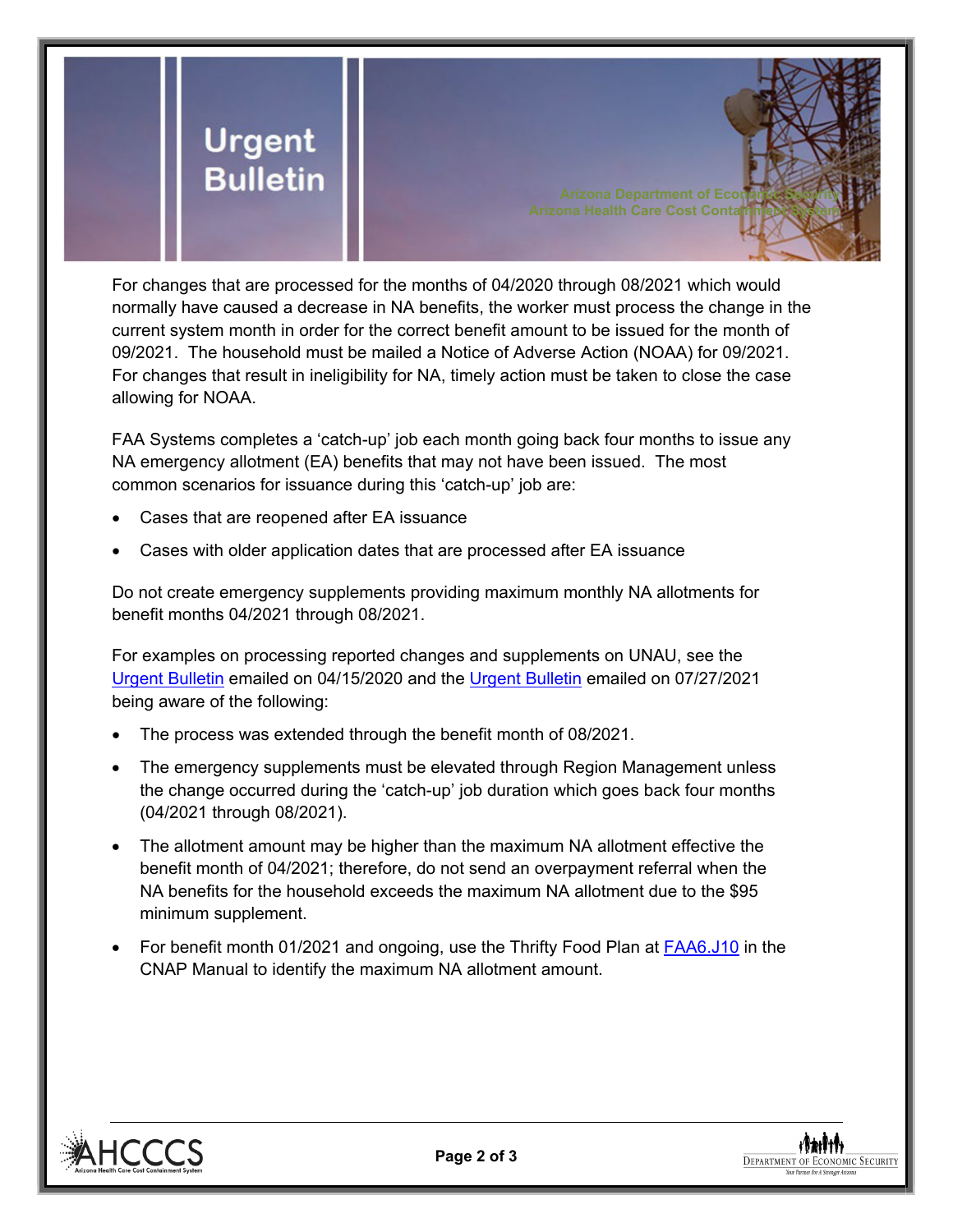

For changes that are processed for the months of 04/2020 through 08/2021 which would normally have caused a decrease in NA benefits, the worker must process the change in the current system month in order for the correct benefit amount to be issued for the month of 09/2021. The household must be mailed a Notice of Adverse Action (NOAA) for 09/2021. For changes that result in ineligibility for NA, timely action must be taken to close the case allowing for NOAA.

FAA Systems completes a 'catch-up' job each month going back four months to issue any NA emergency allotment (EA) benefits that may not have been issued. The most common scenarios for issuance during this 'catch-up' job are:

- Cases that are reopened after EA issuance
- Cases with older application dates that are processed after EA issuance

Do not create emergency supplements providing maximum monthly NA allotments for benefit months 04/2021 through 08/2021.

For examples on processing reported changes and supplements on UNAU, see the [Urgent Bulletin](https://dbmefaapolicy.azdes.gov/FAA5/baggage/Urgent%20Bulletin%20(04-15-2020)%20-%20Reported%20Changes%20and%20Supplements%20on%20UNAU.pdf) emailed on 04/15/2020 and the [Urgent Bulletin](https://dbmefaapolicy.azdes.gov/Archived_Policy/baggage/Urgent%20Bulletin%20(07-27-2021)%20-%20EA%20$95%20Minimum%20Clarification.pdf) emailed on 07/27/2021 being aware of the following:

- The process was extended through the benefit month of 08/2021.
- The emergency supplements must be elevated through Region Management unless the change occurred during the 'catch-up' job duration which goes back four months (04/2021 through 08/2021).
- The allotment amount may be higher than the maximum NA allotment effective the benefit month of 04/2021; therefore, do not send an overpayment referral when the NA benefits for the household exceeds the maximum NA allotment due to the \$95 minimum supplement.
- For benefit month 01/2021 and ongoing, use the Thrifty Food Plan at [FAA6.J10](https://dbmefaapolicy.azdes.gov/?#page/FAA6%2F6.J_Standards_Fees_and_Amounts.10.33.html%23) in the CNAP Manual to identify the maximum NA allotment amount.



**DEPARTMENT OF ECONOMIC SECURITY**